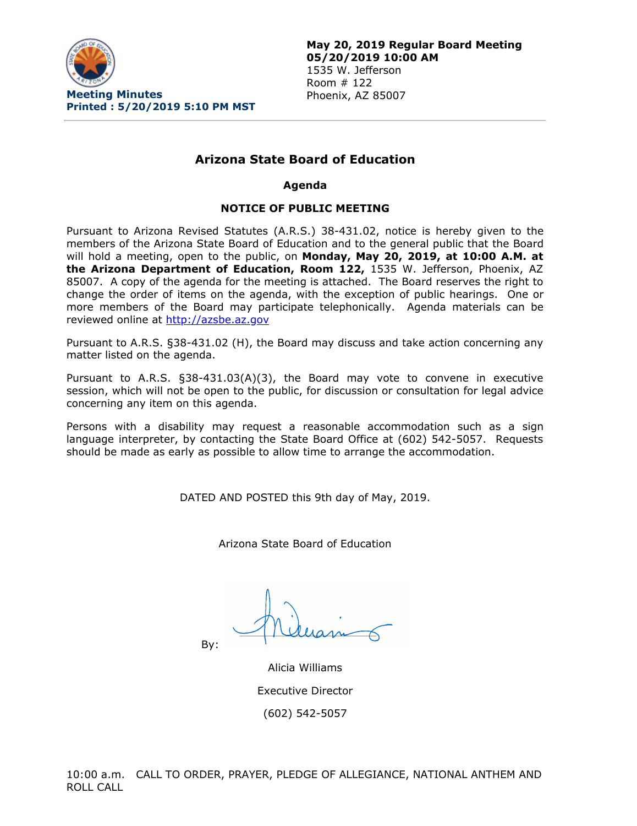

# **Arizona State Board of Education**

#### **Agenda**

## **NOTICE OF PUBLIC MEETING**

Pursuant to Arizona Revised Statutes (A.R.S.) 38-431.02, notice is hereby given to the members of the Arizona State Board of Education and to the general public that the Board will hold a meeting, open to the public, on **Monday, May 20, 2019, at 10:00 A.M. at the Arizona Department of Education, Room 122,** 1535 W. Jefferson, Phoenix, AZ 85007. A copy of the agenda for the meeting is attached. The Board reserves the right to change the order of items on the agenda, with the exception of public hearings. One or more members of the Board may participate telephonically. Agenda materials can be reviewed online at [http://azsbe.az.gov](http://azsbe.az.gov/)

Pursuant to A.R.S. §38-431.02 (H), the Board may discuss and take action concerning any matter listed on the agenda.

Pursuant to A.R.S. §38-431.03(A)(3), the Board may vote to convene in executive session, which will not be open to the public, for discussion or consultation for legal advice concerning any item on this agenda.

Persons with a disability may request a reasonable accommodation such as a sign language interpreter, by contacting the State Board Office at (602) 542-5057. Requests should be made as early as possible to allow time to arrange the accommodation.

DATED AND POSTED this 9th day of May, 2019.

Arizona State Board of Education

By:

Alicia Williams Executive Director (602) 542-5057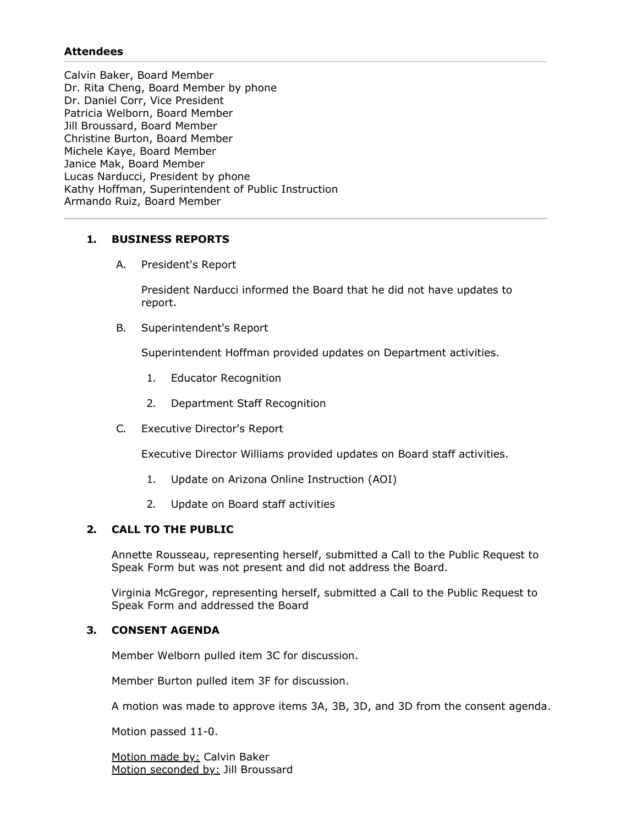## **Attendees**

Calvin Baker, Board Member Dr. Rita Cheng, Board Member by phone Dr. Daniel Corr, Vice President Patricia Welborn, Board Member Jill Broussard, Board Member Christine Burton, Board Member Michele Kaye, Board Member Janice Mak, Board Member Lucas Narducci, President by phone Kathy Hoffman, Superintendent of Public Instruction Armando Ruiz, Board Member

## **1. BUSINESS REPORTS**

A. President's Report

President Narducci informed the Board that he did not have updates to report.

B. Superintendent's Report

Superintendent Hoffman provided updates on Department activities.

- 1. Educator Recognition
- 2. Department Staff Recognition
- C. Executive Director's Report

Executive Director Williams provided updates on Board staff activities.

- 1. Update on Arizona Online Instruction (AOI)
- 2. Update on Board staff activities

## **2. CALL TO THE PUBLIC**

Annette Rousseau, representing herself, submitted a Call to the Public Request to Speak Form but was not present and did not address the Board.

Virginia McGregor, representing herself, submitted a Call to the Public Request to Speak Form and addressed the Board

## **3. CONSENT AGENDA**

Member Welborn pulled item 3C for discussion.

Member Burton pulled item 3F for discussion.

A motion was made to approve items 3A, 3B, 3D, and 3D from the consent agenda.

Motion passed 11-0.

Motion made by: Calvin Baker Motion seconded by: Jill Broussard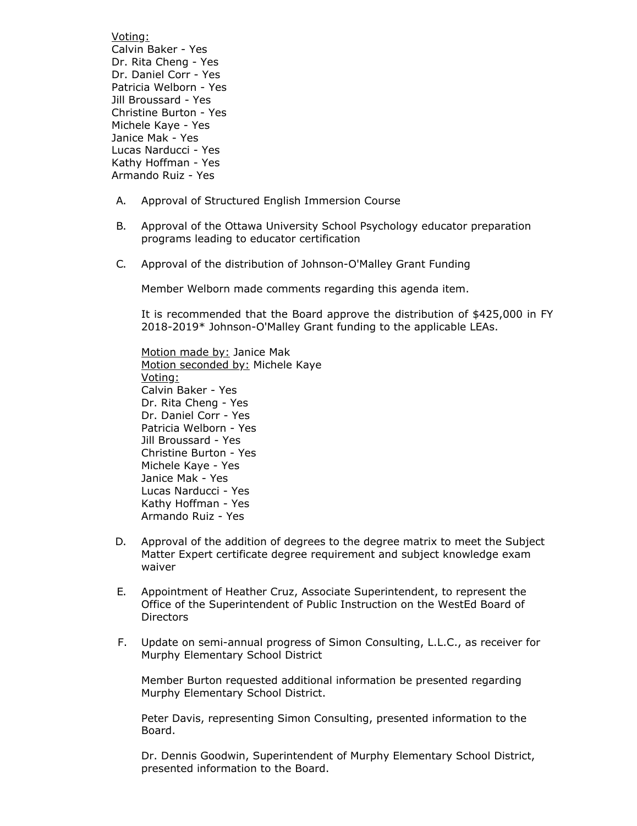Voting: Calvin Baker - Yes Dr. Rita Cheng - Yes Dr. Daniel Corr - Yes Patricia Welborn - Yes Jill Broussard - Yes Christine Burton - Yes Michele Kaye - Yes Janice Mak - Yes Lucas Narducci - Yes Kathy Hoffman - Yes Armando Ruiz - Yes

- A. Approval of Structured English Immersion Course
- B. Approval of the Ottawa University School Psychology educator preparation programs leading to educator certification
- C. Approval of the distribution of Johnson-O'Malley Grant Funding

Member Welborn made comments regarding this agenda item.

It is recommended that the Board approve the distribution of \$425,000 in FY 2018-2019\* Johnson-O'Malley Grant funding to the applicable LEAs.

Motion made by: Janice Mak Motion seconded by: Michele Kaye Voting: Calvin Baker - Yes Dr. Rita Cheng - Yes Dr. Daniel Corr - Yes Patricia Welborn - Yes Jill Broussard - Yes Christine Burton - Yes Michele Kaye - Yes Janice Mak - Yes Lucas Narducci - Yes Kathy Hoffman - Yes Armando Ruiz - Yes

- D. Approval of the addition of degrees to the degree matrix to meet the Subject Matter Expert certificate degree requirement and subject knowledge exam waiver
- E. Appointment of Heather Cruz, Associate Superintendent, to represent the Office of the Superintendent of Public Instruction on the WestEd Board of **Directors**
- F. Update on semi-annual progress of Simon Consulting, L.L.C., as receiver for Murphy Elementary School District

Member Burton requested additional information be presented regarding Murphy Elementary School District.

Peter Davis, representing Simon Consulting, presented information to the Board.

Dr. Dennis Goodwin, Superintendent of Murphy Elementary School District, presented information to the Board.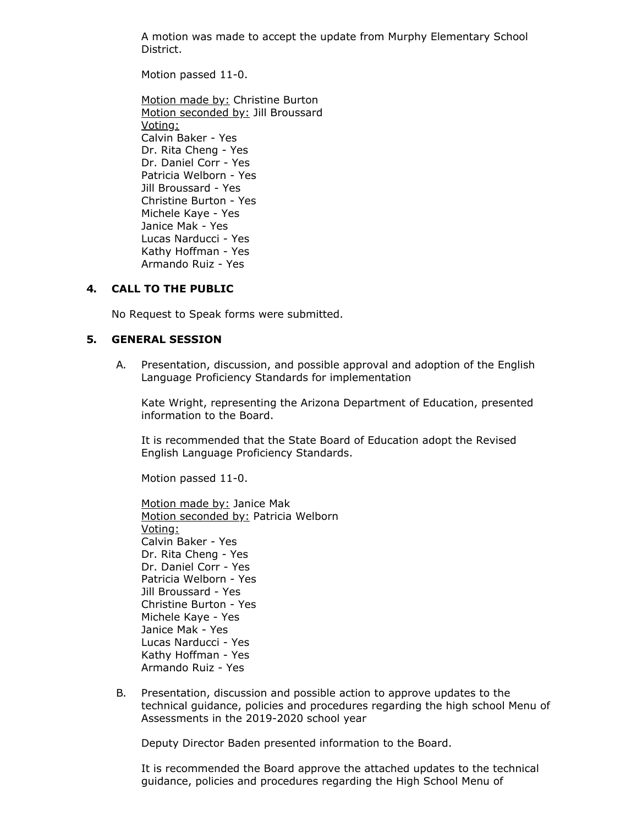A motion was made to accept the update from Murphy Elementary School District.

Motion passed 11-0.

Motion made by: Christine Burton Motion seconded by: Jill Broussard Voting: Calvin Baker - Yes Dr. Rita Cheng - Yes Dr. Daniel Corr - Yes Patricia Welborn - Yes Jill Broussard - Yes Christine Burton - Yes Michele Kaye - Yes Janice Mak - Yes Lucas Narducci - Yes Kathy Hoffman - Yes Armando Ruiz - Yes

## **4. CALL TO THE PUBLIC**

No Request to Speak forms were submitted.

#### **5. GENERAL SESSION**

A. Presentation, discussion, and possible approval and adoption of the English Language Proficiency Standards for implementation

Kate Wright, representing the Arizona Department of Education, presented information to the Board.

It is recommended that the State Board of Education adopt the Revised English Language Proficiency Standards.

Motion passed 11-0.

Motion made by: Janice Mak Motion seconded by: Patricia Welborn Voting: Calvin Baker - Yes Dr. Rita Cheng - Yes Dr. Daniel Corr - Yes Patricia Welborn - Yes Jill Broussard - Yes Christine Burton - Yes Michele Kaye - Yes Janice Mak - Yes Lucas Narducci - Yes Kathy Hoffman - Yes Armando Ruiz - Yes

B. Presentation, discussion and possible action to approve updates to the technical guidance, policies and procedures regarding the high school Menu of Assessments in the 2019-2020 school year

Deputy Director Baden presented information to the Board.

It is recommended the Board approve the attached updates to the technical guidance, policies and procedures regarding the High School Menu of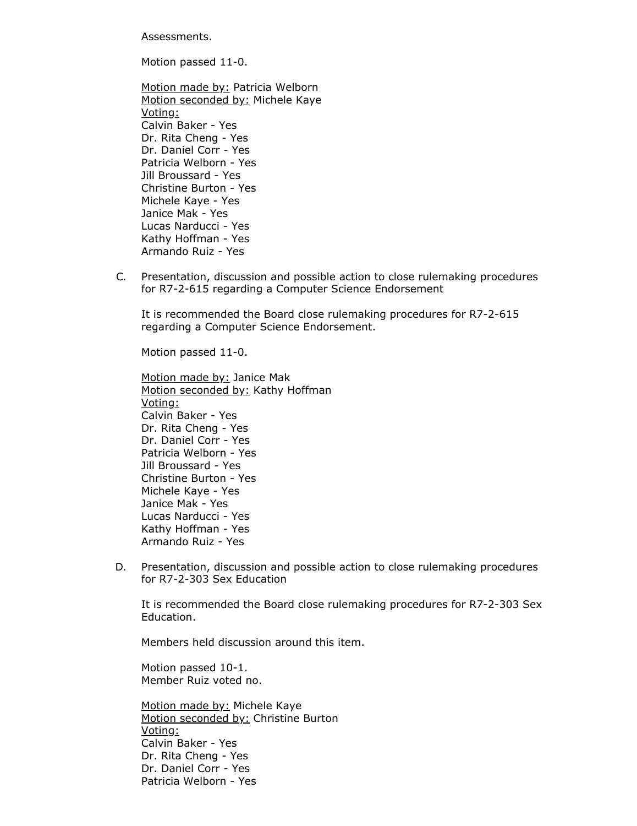Assessments.

Motion passed 11-0.

- Motion made by: Patricia Welborn Motion seconded by: Michele Kaye Voting: Calvin Baker - Yes Dr. Rita Cheng - Yes Dr. Daniel Corr - Yes Patricia Welborn - Yes Jill Broussard - Yes Christine Burton - Yes Michele Kaye - Yes Janice Mak - Yes Lucas Narducci - Yes Kathy Hoffman - Yes Armando Ruiz - Yes
- C. Presentation, discussion and possible action to close rulemaking procedures for R7-2-615 regarding a Computer Science Endorsement

It is recommended the Board close rulemaking procedures for R7-2-615 regarding a Computer Science Endorsement.

Motion passed 11-0.

Motion made by: Janice Mak Motion seconded by: Kathy Hoffman Voting: Calvin Baker - Yes Dr. Rita Cheng - Yes Dr. Daniel Corr - Yes Patricia Welborn - Yes Jill Broussard - Yes Christine Burton - Yes Michele Kaye - Yes Janice Mak - Yes Lucas Narducci - Yes Kathy Hoffman - Yes Armando Ruiz - Yes

D. Presentation, discussion and possible action to close rulemaking procedures for R7-2-303 Sex Education

It is recommended the Board close rulemaking procedures for R7-2-303 Sex Education.

Members held discussion around this item.

Motion passed 10-1. Member Ruiz voted no.

Motion made by: Michele Kaye Motion seconded by: Christine Burton Voting: Calvin Baker - Yes Dr. Rita Cheng - Yes Dr. Daniel Corr - Yes Patricia Welborn - Yes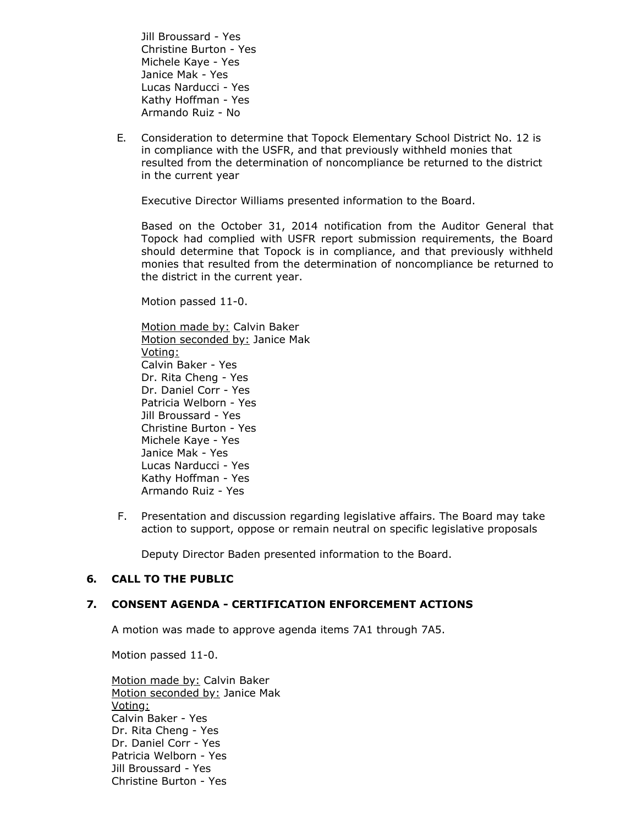Jill Broussard - Yes Christine Burton - Yes Michele Kaye - Yes Janice Mak - Yes Lucas Narducci - Yes Kathy Hoffman - Yes Armando Ruiz - No

E. Consideration to determine that Topock Elementary School District No. 12 is in compliance with the USFR, and that previously withheld monies that resulted from the determination of noncompliance be returned to the district in the current year

Executive Director Williams presented information to the Board.

Based on the October 31, 2014 notification from the Auditor General that Topock had complied with USFR report submission requirements, the Board should determine that Topock is in compliance, and that previously withheld monies that resulted from the determination of noncompliance be returned to the district in the current year.

Motion passed 11-0.

Motion made by: Calvin Baker Motion seconded by: Janice Mak Voting: Calvin Baker - Yes Dr. Rita Cheng - Yes Dr. Daniel Corr - Yes Patricia Welborn - Yes Jill Broussard - Yes Christine Burton - Yes Michele Kaye - Yes Janice Mak - Yes Lucas Narducci - Yes Kathy Hoffman - Yes Armando Ruiz - Yes

F. Presentation and discussion regarding legislative affairs. The Board may take action to support, oppose or remain neutral on specific legislative proposals

Deputy Director Baden presented information to the Board.

## **6. CALL TO THE PUBLIC**

## **7. CONSENT AGENDA - CERTIFICATION ENFORCEMENT ACTIONS**

A motion was made to approve agenda items 7A1 through 7A5.

Motion passed 11-0.

Motion made by: Calvin Baker Motion seconded by: Janice Mak Voting: Calvin Baker - Yes Dr. Rita Cheng - Yes Dr. Daniel Corr - Yes Patricia Welborn - Yes Jill Broussard - Yes Christine Burton - Yes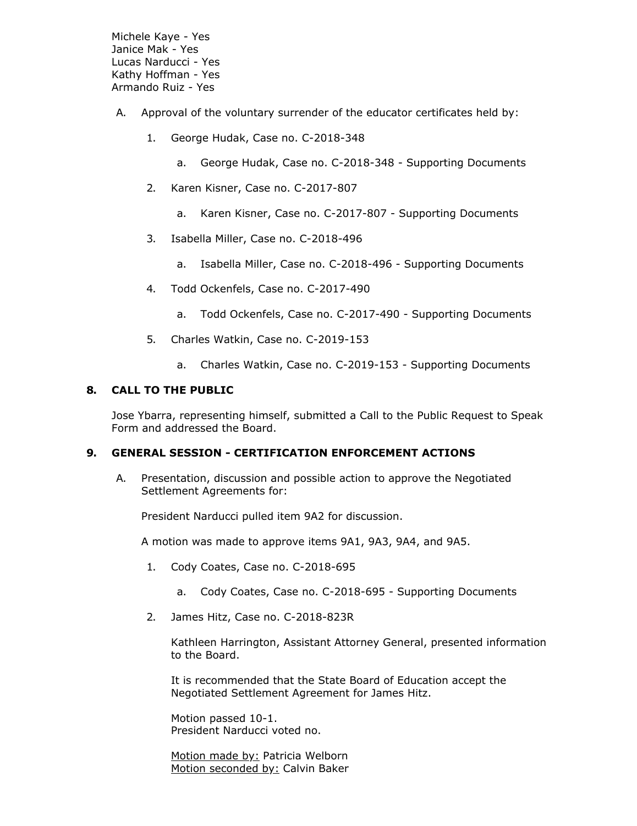Michele Kaye - Yes Janice Mak - Yes Lucas Narducci - Yes Kathy Hoffman - Yes Armando Ruiz - Yes

- A. Approval of the voluntary surrender of the educator certificates held by:
	- 1. George Hudak, Case no. C-2018-348
		- a. George Hudak, Case no. C-2018-348 Supporting Documents
	- 2. Karen Kisner, Case no. C-2017-807
		- a. Karen Kisner, Case no. C-2017-807 Supporting Documents
	- 3. Isabella Miller, Case no. C-2018-496
		- a. Isabella Miller, Case no. C-2018-496 Supporting Documents
	- 4. Todd Ockenfels, Case no. C-2017-490
		- a. Todd Ockenfels, Case no. C-2017-490 Supporting Documents
	- 5. Charles Watkin, Case no. C-2019-153
		- a. Charles Watkin, Case no. C-2019-153 Supporting Documents

#### **8. CALL TO THE PUBLIC**

Jose Ybarra, representing himself, submitted a Call to the Public Request to Speak Form and addressed the Board.

#### **9. GENERAL SESSION - CERTIFICATION ENFORCEMENT ACTIONS**

A. Presentation, discussion and possible action to approve the Negotiated Settlement Agreements for:

President Narducci pulled item 9A2 for discussion.

A motion was made to approve items 9A1, 9A3, 9A4, and 9A5.

- 1. Cody Coates, Case no. C-2018-695
	- a. Cody Coates, Case no. C-2018-695 Supporting Documents
- 2. James Hitz, Case no. C-2018-823R

Kathleen Harrington, Assistant Attorney General, presented information to the Board.

It is recommended that the State Board of Education accept the Negotiated Settlement Agreement for James Hitz.

Motion passed 10-1. President Narducci voted no.

Motion made by: Patricia Welborn Motion seconded by: Calvin Baker